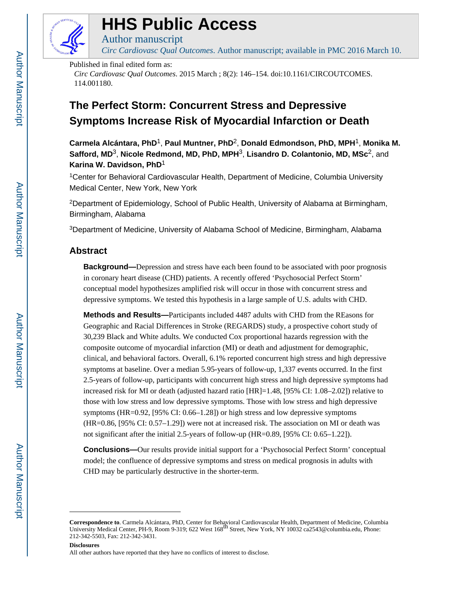

# **HHS Public Access**

*Circ Cardiovasc Qual Outcomes*. Author manuscript; available in PMC 2016 March 10.

Published in final edited form as:

Author manuscript

*Circ Cardiovasc Qual Outcomes*. 2015 March ; 8(2): 146–154. doi:10.1161/CIRCOUTCOMES. 114.001180.

# **The Perfect Storm: Concurrent Stress and Depressive Symptoms Increase Risk of Myocardial Infarction or Death**

**Carmela Alcántara, PhD**1, **Paul Muntner, PhD**2, **Donald Edmondson, PhD, MPH**1, **Monika M. Safford, MD**3, **Nicole Redmond, MD, PhD, MPH**3, **Lisandro D. Colantonio, MD, MSc**2, and **Karina W. Davidson, PhD**<sup>1</sup>

<sup>1</sup>Center for Behavioral Cardiovascular Health, Department of Medicine, Columbia University Medical Center, New York, New York

<sup>2</sup>Department of Epidemiology, School of Public Health, University of Alabama at Birmingham, Birmingham, Alabama

<sup>3</sup>Department of Medicine, University of Alabama School of Medicine, Birmingham, Alabama

# **Abstract**

**Background—**Depression and stress have each been found to be associated with poor prognosis in coronary heart disease (CHD) patients. A recently offered 'Psychosocial Perfect Storm' conceptual model hypothesizes amplified risk will occur in those with concurrent stress and depressive symptoms. We tested this hypothesis in a large sample of U.S. adults with CHD.

**Methods and Results—**Participants included 4487 adults with CHD from the REasons for Geographic and Racial Differences in Stroke (REGARDS) study, a prospective cohort study of 30,239 Black and White adults. We conducted Cox proportional hazards regression with the composite outcome of myocardial infarction (MI) or death and adjustment for demographic, clinical, and behavioral factors. Overall, 6.1% reported concurrent high stress and high depressive symptoms at baseline. Over a median 5.95-years of follow-up, 1,337 events occurred. In the first 2.5-years of follow-up, participants with concurrent high stress and high depressive symptoms had increased risk for MI or death (adjusted hazard ratio [HR]=1.48, [95% CI: 1.08–2.02]) relative to those with low stress and low depressive symptoms. Those with low stress and high depressive symptoms (HR=0.92, [95% CI: 0.66–1.28]) or high stress and low depressive symptoms (HR=0.86, [95% CI: 0.57–1.29]) were not at increased risk. The association on MI or death was not significant after the initial 2.5-years of follow-up (HR=0.89, [95% CI: 0.65–1.22]).

**Conclusions—**Our results provide initial support for a 'Psychosocial Perfect Storm' conceptual model; the confluence of depressive symptoms and stress on medical prognosis in adults with CHD may be particularly destructive in the shorter-term.

**Disclosures**

**Correspondence to**. Carmela Alcántara, PhD, Center for Behavioral Cardiovascular Health, Department of Medicine, Columbia<br>University Medical Center, PH-9, Room 9-319; 622 West 168<sup>th</sup> Street, New York, NY 10032 ca2543@col 212-342-5503, Fax: 212-342-3431.

All other authors have reported that they have no conflicts of interest to disclose.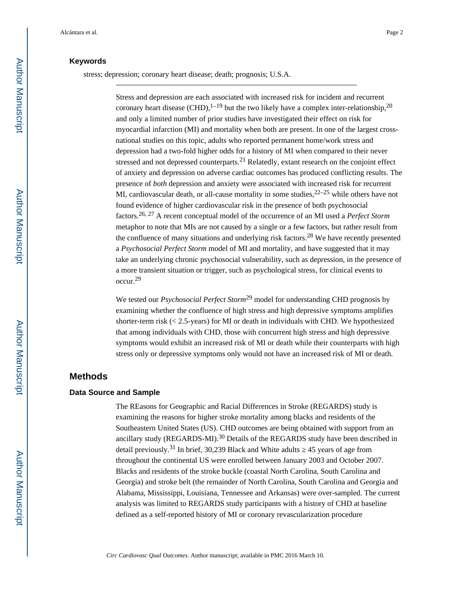#### **Keywords**

stress; depression; coronary heart disease; death; prognosis; U.S.A.

Stress and depression are each associated with increased risk for incident and recurrent coronary heart disease (CHD),<sup>1–19</sup> but the two likely have a complex inter-relationship,<sup>20</sup> and only a limited number of prior studies have investigated their effect on risk for myocardial infarction (MI) and mortality when both are present. In one of the largest crossnational studies on this topic, adults who reported permanent home/work stress and depression had a two-fold higher odds for a history of MI when compared to their never stressed and not depressed counterparts.<sup>21</sup> Relatedly, extant research on the conjoint effect of anxiety and depression on adverse cardiac outcomes has produced conflicting results. The presence of *both* depression and anxiety were associated with increased risk for recurrent MI, cardiovascular death, or all-cause mortality in some studies,  $2^{2-25}$  while others have not found evidence of higher cardiovascular risk in the presence of both psychosocial factors.26, 27 A recent conceptual model of the occurrence of an MI used a *Perfect Storm*  metaphor to note that MIs are not caused by a single or a few factors, but rather result from the confluence of many situations and underlying risk factors.28 We have recently presented a *Psychosocial Perfect Storm* model of MI and mortality, and have suggested that it may take an underlying chronic psychosocial vulnerability, such as depression, in the presence of a more transient situation or trigger, such as psychological stress, for clinical events to occur.<sup>29</sup>

We tested our *Psychosocial Perfect Storm*29 model for understanding CHD prognosis by examining whether the confluence of high stress and high depressive symptoms amplifies shorter-term risk (< 2.5-years) for MI or death in individuals with CHD. We hypothesized that among individuals with CHD, those with concurrent high stress and high depressive symptoms would exhibit an increased risk of MI or death while their counterparts with high stress only or depressive symptoms only would not have an increased risk of MI or death.

#### **Methods**

#### **Data Source and Sample**

The REasons for Geographic and Racial Differences in Stroke (REGARDS) study is examining the reasons for higher stroke mortality among blacks and residents of the Southeastern United States (US). CHD outcomes are being obtained with support from an ancillary study (REGARDS-MI).<sup>30</sup> Details of the REGARDS study have been described in detail previously.<sup>31</sup> In brief, 30,239 Black and White adults  $\frac{45 \text{ years of age from}}{25 \text{ years of age}}$ throughout the continental US were enrolled between January 2003 and October 2007. Blacks and residents of the stroke buckle (coastal North Carolina, South Carolina and Georgia) and stroke belt (the remainder of North Carolina, South Carolina and Georgia and Alabama, Mississippi, Louisiana, Tennessee and Arkansas) were over-sampled. The current analysis was limited to REGARDS study participants with a history of CHD at baseline defined as a self-reported history of MI or coronary revascularization procedure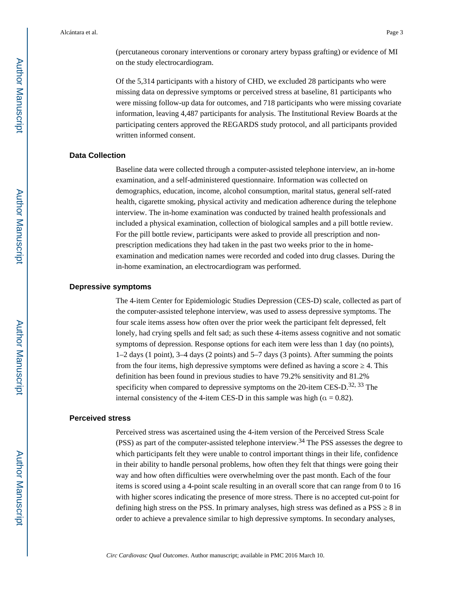Alcántara et al. Page 3

(percutaneous coronary interventions or coronary artery bypass grafting) or evidence of MI on the study electrocardiogram.

Of the 5,314 participants with a history of CHD, we excluded 28 participants who were missing data on depressive symptoms or perceived stress at baseline, 81 participants who were missing follow-up data for outcomes, and 718 participants who were missing covariate information, leaving 4,487 participants for analysis. The Institutional Review Boards at the participating centers approved the REGARDS study protocol, and all participants provided written informed consent.

#### **Data Collection**

Baseline data were collected through a computer-assisted telephone interview, an in-home examination, and a self-administered questionnaire. Information was collected on demographics, education, income, alcohol consumption, marital status, general self-rated health, cigarette smoking, physical activity and medication adherence during the telephone interview. The in-home examination was conducted by trained health professionals and included a physical examination, collection of biological samples and a pill bottle review. For the pill bottle review, participants were asked to provide all prescription and nonprescription medications they had taken in the past two weeks prior to the in homeexamination and medication names were recorded and coded into drug classes. During the in-home examination, an electrocardiogram was performed.

#### **Depressive symptoms**

The 4-item Center for Epidemiologic Studies Depression (CES-D) scale, collected as part of the computer-assisted telephone interview, was used to assess depressive symptoms. The four scale items assess how often over the prior week the participant felt depressed, felt lonely, had crying spells and felt sad; as such these 4-items assess cognitive and not somatic symptoms of depression. Response options for each item were less than 1 day (no points), 1–2 days (1 point), 3–4 days (2 points) and 5–7 days (3 points). After summing the points from the four items, high depressive symptoms were defined as having a score  $\sim$  4. This definition has been found in previous studies to have 79.2% sensitivity and 81.2% specificity when compared to depressive symptoms on the 20-item CES-D.<sup>32, 33</sup> The internal consistency of the 4-item CES-D in this sample was high ( $\alpha = 0.82$ ).

#### **Perceived stress**

Perceived stress was ascertained using the 4-item version of the Perceived Stress Scale (PSS) as part of the computer-assisted telephone interview.34 The PSS assesses the degree to which participants felt they were unable to control important things in their life, confidence in their ability to handle personal problems, how often they felt that things were going their way and how often difficulties were overwhelming over the past month. Each of the four items is scored using a 4-point scale resulting in an overall score that can range from 0 to 16 with higher scores indicating the presence of more stress. There is no accepted cut-point for defining high stress on the PSS. In primary analyses, high stress was defined as a PSS  $\,8\,$  in order to achieve a prevalence similar to high depressive symptoms. In secondary analyses,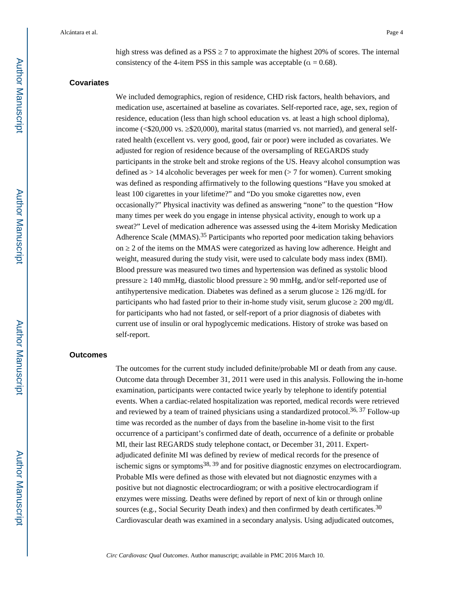high stress was defined as a PSS  $\rightarrow$  7 to approximate the highest 20% of scores. The internal consistency of the 4-item PSS in this sample was acceptable ( $\alpha = 0.68$ ).

#### **Covariates**

We included demographics, region of residence, CHD risk factors, health behaviors, and medication use, ascertained at baseline as covariates. Self-reported race, age, sex, region of residence, education (less than high school education vs. at least a high school diploma), income  $\langle \langle $20,000 \rangle$  vs.  $$20,000$ , marital status (married vs. not married), and general selfrated health (excellent vs. very good, good, fair or poor) were included as covariates. We adjusted for region of residence because of the oversampling of REGARDS study participants in the stroke belt and stroke regions of the US. Heavy alcohol consumption was defined as  $> 14$  alcoholic beverages per week for men ( $> 7$  for women). Current smoking was defined as responding affirmatively to the following questions "Have you smoked at least 100 cigarettes in your lifetime?" and "Do you smoke cigarettes now, even occasionally?" Physical inactivity was defined as answering "none" to the question "How many times per week do you engage in intense physical activity, enough to work up a sweat?" Level of medication adherence was assessed using the 4-item Morisky Medication Adherence Scale (MMAS).<sup>35</sup> Participants who reported poor medication taking behaviors on ≥ 2 of the items on the MMAS were categorized as having low adherence. Height and weight, measured during the study visit, were used to calculate body mass index (BMI). Blood pressure was measured two times and hypertension was defined as systolic blood pressure 140 mmHg, diastolic blood pressure 90 mmHg, and/or self-reported use of antihypertensive medication. Diabetes was defined as a serum glucose  $\frac{126 \text{ mg/dL}}{26}$  for participants who had fasted prior to their in-home study visit, serum glucose  $200 \text{ mg/dL}$ for participants who had not fasted, or self-report of a prior diagnosis of diabetes with current use of insulin or oral hypoglycemic medications. History of stroke was based on self-report.

#### **Outcomes**

The outcomes for the current study included definite/probable MI or death from any cause. Outcome data through December 31, 2011 were used in this analysis. Following the in-home examination, participants were contacted twice yearly by telephone to identify potential events. When a cardiac-related hospitalization was reported, medical records were retrieved and reviewed by a team of trained physicians using a standardized protocol.<sup>36, 37</sup> Follow-up time was recorded as the number of days from the baseline in-home visit to the first occurrence of a participant's confirmed date of death, occurrence of a definite or probable MI, their last REGARDS study telephone contact, or December 31, 2011. Expertadjudicated definite MI was defined by review of medical records for the presence of ischemic signs or symptoms<sup>38, 39</sup> and for positive diagnostic enzymes on electrocardiogram. Probable MIs were defined as those with elevated but not diagnostic enzymes with a positive but not diagnostic electrocardiogram; or with a positive electrocardiogram if enzymes were missing. Deaths were defined by report of next of kin or through online sources (e.g., Social Security Death index) and then confirmed by death certificates. $30$ Cardiovascular death was examined in a secondary analysis. Using adjudicated outcomes,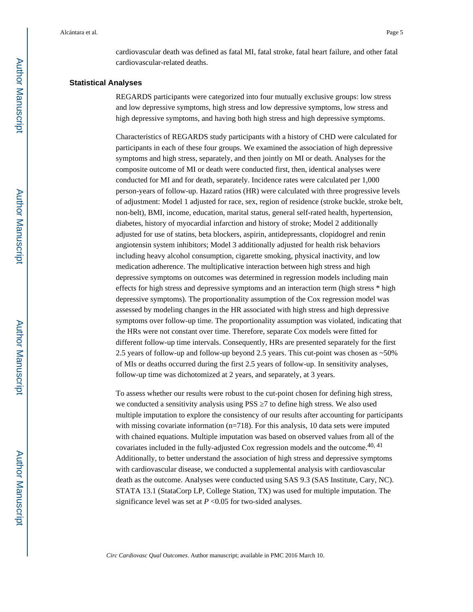cardiovascular death was defined as fatal MI, fatal stroke, fatal heart failure, and other fatal cardiovascular-related deaths.

#### **Statistical Analyses**

REGARDS participants were categorized into four mutually exclusive groups: low stress and low depressive symptoms, high stress and low depressive symptoms, low stress and high depressive symptoms, and having both high stress and high depressive symptoms.

Characteristics of REGARDS study participants with a history of CHD were calculated for participants in each of these four groups. We examined the association of high depressive symptoms and high stress, separately, and then jointly on MI or death. Analyses for the composite outcome of MI or death were conducted first, then, identical analyses were conducted for MI and for death, separately. Incidence rates were calculated per 1,000 person-years of follow-up. Hazard ratios (HR) were calculated with three progressive levels of adjustment: Model 1 adjusted for race, sex, region of residence (stroke buckle, stroke belt, non-belt), BMI, income, education, marital status, general self-rated health, hypertension, diabetes, history of myocardial infarction and history of stroke; Model 2 additionally adjusted for use of statins, beta blockers, aspirin, antidepressants, clopidogrel and renin angiotensin system inhibitors; Model 3 additionally adjusted for health risk behaviors including heavy alcohol consumption, cigarette smoking, physical inactivity, and low medication adherence. The multiplicative interaction between high stress and high depressive symptoms on outcomes was determined in regression models including main effects for high stress and depressive symptoms and an interaction term (high stress \* high depressive symptoms). The proportionality assumption of the Cox regression model was assessed by modeling changes in the HR associated with high stress and high depressive symptoms over follow-up time. The proportionality assumption was violated, indicating that the HRs were not constant over time. Therefore, separate Cox models were fitted for different follow-up time intervals. Consequently, HRs are presented separately for the first 2.5 years of follow-up and follow-up beyond 2.5 years. This cut-point was chosen as ~50% of MIs or deaths occurred during the first 2.5 years of follow-up. In sensitivity analyses, follow-up time was dichotomized at 2 years, and separately, at 3 years.

To assess whether our results were robust to the cut-point chosen for defining high stress, we conducted a sensitivity analysis using PSS  $\,$  7 to define high stress. We also used multiple imputation to explore the consistency of our results after accounting for participants with missing covariate information  $(n=718)$ . For this analysis, 10 data sets were imputed with chained equations. Multiple imputation was based on observed values from all of the covariates included in the fully-adjusted Cox regression models and the outcome.<sup>40, 41</sup> Additionally, to better understand the association of high stress and depressive symptoms with cardiovascular disease, we conducted a supplemental analysis with cardiovascular death as the outcome. Analyses were conducted using SAS 9.3 (SAS Institute, Cary, NC). STATA 13.1 (StataCorp LP, College Station, TX) was used for multiple imputation. The significance level was set at *P* <0.05 for two-sided analyses.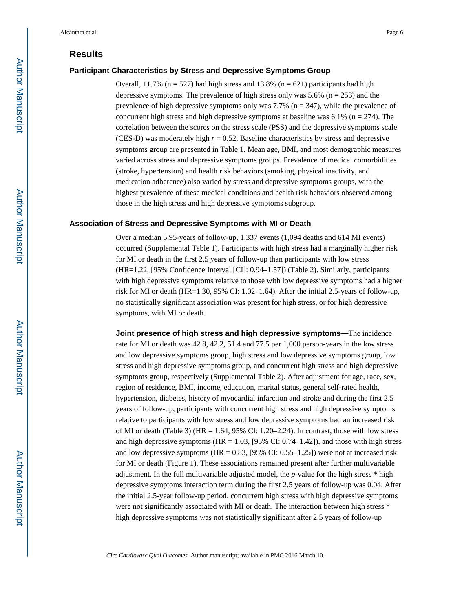# **Results**

#### **Participant Characteristics by Stress and Depressive Symptoms Group**

Overall, 11.7% ( $n = 527$ ) had high stress and 13.8% ( $n = 621$ ) participants had high depressive symptoms. The prevalence of high stress only was  $5.6\%$  (n = 253) and the prevalence of high depressive symptoms only was  $7.7\%$  (n = 347), while the prevalence of concurrent high stress and high depressive symptoms at baseline was 6.1% ( $n = 274$ ). The correlation between the scores on the stress scale (PSS) and the depressive symptoms scale (CES-D) was moderately high  $r = 0.52$ . Baseline characteristics by stress and depressive symptoms group are presented in Table 1. Mean age, BMI, and most demographic measures varied across stress and depressive symptoms groups. Prevalence of medical comorbidities (stroke, hypertension) and health risk behaviors (smoking, physical inactivity, and medication adherence) also varied by stress and depressive symptoms groups, with the highest prevalence of these medical conditions and health risk behaviors observed among those in the high stress and high depressive symptoms subgroup.

#### **Association of Stress and Depressive Symptoms with MI or Death**

Over a median 5.95-years of follow-up, 1,337 events (1,094 deaths and 614 MI events) occurred (Supplemental Table 1). Participants with high stress had a marginally higher risk for MI or death in the first 2.5 years of follow-up than participants with low stress (HR=1.22, [95% Confidence Interval [CI]: 0.94–1.57]) (Table 2). Similarly, participants with high depressive symptoms relative to those with low depressive symptoms had a higher risk for MI or death (HR=1.30, 95% CI: 1.02–1.64). After the initial 2.5-years of follow-up, no statistically significant association was present for high stress, or for high depressive symptoms, with MI or death.

**Joint presence of high stress and high depressive symptoms—**The incidence rate for MI or death was 42.8, 42.2, 51.4 and 77.5 per 1,000 person-years in the low stress and low depressive symptoms group, high stress and low depressive symptoms group, low stress and high depressive symptoms group, and concurrent high stress and high depressive symptoms group, respectively (Supplemental Table 2). After adjustment for age, race, sex, region of residence, BMI, income, education, marital status, general self-rated health, hypertension, diabetes, history of myocardial infarction and stroke and during the first 2.5 years of follow-up, participants with concurrent high stress and high depressive symptoms relative to participants with low stress and low depressive symptoms had an increased risk of MI or death (Table 3) ( $HR = 1.64$ , 95% CI: 1.20–2.24). In contrast, those with low stress and high depressive symptoms (HR =  $1.03$ , [95% CI: 0.74–1.42]), and those with high stress and low depressive symptoms ( $HR = 0.83$ , [95% CI: 0.55–1.25]) were not at increased risk for MI or death (Figure 1). These associations remained present after further multivariable adjustment. In the full multivariable adjusted model, the *p*-value for the high stress \* high depressive symptoms interaction term during the first 2.5 years of follow-up was 0.04. After the initial 2.5-year follow-up period, concurrent high stress with high depressive symptoms were not significantly associated with MI or death. The interaction between high stress  $*$ high depressive symptoms was not statistically significant after 2.5 years of follow-up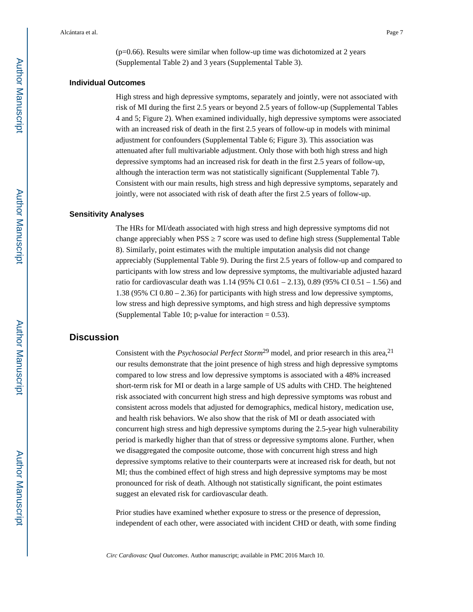$(p=0.66)$ . Results were similar when follow-up time was dichotomized at 2 years (Supplemental Table 2) and 3 years (Supplemental Table 3).

#### **Individual Outcomes**

High stress and high depressive symptoms, separately and jointly, were not associated with risk of MI during the first 2.5 years or beyond 2.5 years of follow-up (Supplemental Tables 4 and 5; Figure 2). When examined individually, high depressive symptoms were associated with an increased risk of death in the first 2.5 years of follow-up in models with minimal adjustment for confounders (Supplemental Table 6; Figure 3). This association was attenuated after full multivariable adjustment. Only those with both high stress and high depressive symptoms had an increased risk for death in the first 2.5 years of follow-up, although the interaction term was not statistically significant (Supplemental Table 7). Consistent with our main results, high stress and high depressive symptoms, separately and jointly, were not associated with risk of death after the first 2.5 years of follow-up.

#### **Sensitivity Analyses**

The HRs for MI/death associated with high stress and high depressive symptoms did not change appreciably when PSS  $\bar{z}$  7 score was used to define high stress (Supplemental Table 8). Similarly, point estimates with the multiple imputation analysis did not change appreciably (Supplemental Table 9). During the first 2.5 years of follow-up and compared to participants with low stress and low depressive symptoms, the multivariable adjusted hazard ratio for cardiovascular death was 1.14 (95% CI 0.61 – 2.13), 0.89 (95% CI 0.51 – 1.56) and 1.38 (95% CI 0.80 – 2.36) for participants with high stress and low depressive symptoms, low stress and high depressive symptoms, and high stress and high depressive symptoms (Supplemental Table 10; p-value for interaction  $= 0.53$ ).

# **Discussion**

Consistent with the *Psychosocial Perfect Storm*<sup>29</sup> model, and prior research in this area,<sup>21</sup> our results demonstrate that the joint presence of high stress and high depressive symptoms compared to low stress and low depressive symptoms is associated with a 48% increased short-term risk for MI or death in a large sample of US adults with CHD. The heightened risk associated with concurrent high stress and high depressive symptoms was robust and consistent across models that adjusted for demographics, medical history, medication use, and health risk behaviors. We also show that the risk of MI or death associated with concurrent high stress and high depressive symptoms during the 2.5-year high vulnerability period is markedly higher than that of stress or depressive symptoms alone. Further, when we disaggregated the composite outcome, those with concurrent high stress and high depressive symptoms relative to their counterparts were at increased risk for death, but not MI; thus the combined effect of high stress and high depressive symptoms may be most pronounced for risk of death. Although not statistically significant, the point estimates suggest an elevated risk for cardiovascular death.

Prior studies have examined whether exposure to stress or the presence of depression, independent of each other, were associated with incident CHD or death, with some finding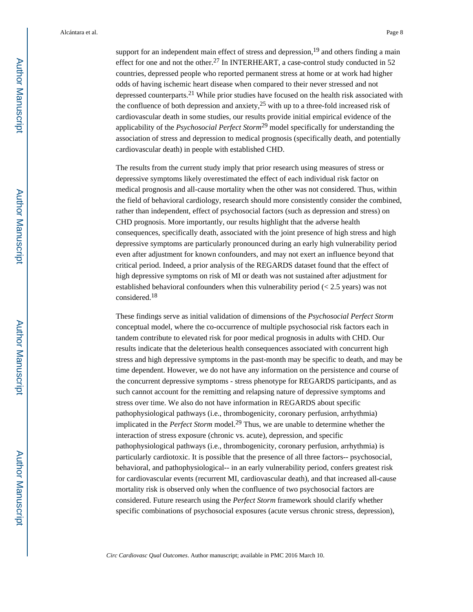Alcántara et al. Page 8

support for an independent main effect of stress and depression,  $19$  and others finding a main effect for one and not the other.<sup>27</sup> In INTERHEART, a case-control study conducted in 52 countries, depressed people who reported permanent stress at home or at work had higher odds of having ischemic heart disease when compared to their never stressed and not depressed counterparts.21 While prior studies have focused on the health risk associated with the confluence of both depression and anxiety,  $2^5$  with up to a three-fold increased risk of cardiovascular death in some studies, our results provide initial empirical evidence of the applicability of the *Psychosocial Perfect Storm*29 model specifically for understanding the association of stress and depression to medical prognosis (specifically death, and potentially cardiovascular death) in people with established CHD.

The results from the current study imply that prior research using measures of stress or depressive symptoms likely overestimated the effect of each individual risk factor on medical prognosis and all-cause mortality when the other was not considered. Thus, within the field of behavioral cardiology, research should more consistently consider the combined, rather than independent, effect of psychosocial factors (such as depression and stress) on CHD prognosis. More importantly, our results highlight that the adverse health consequences, specifically death, associated with the joint presence of high stress and high depressive symptoms are particularly pronounced during an early high vulnerability period even after adjustment for known confounders, and may not exert an influence beyond that critical period. Indeed, a prior analysis of the REGARDS dataset found that the effect of high depressive symptoms on risk of MI or death was not sustained after adjustment for established behavioral confounders when this vulnerability period (< 2.5 years) was not considered.<sup>18</sup>

These findings serve as initial validation of dimensions of the *Psychosocial Perfect Storm*  conceptual model, where the co-occurrence of multiple psychosocial risk factors each in tandem contribute to elevated risk for poor medical prognosis in adults with CHD. Our results indicate that the deleterious health consequences associated with concurrent high stress and high depressive symptoms in the past-month may be specific to death, and may be time dependent. However, we do not have any information on the persistence and course of the concurrent depressive symptoms - stress phenotype for REGARDS participants, and as such cannot account for the remitting and relapsing nature of depressive symptoms and stress over time. We also do not have information in REGARDS about specific pathophysiological pathways (i.e., thrombogenicity, coronary perfusion, arrhythmia) implicated in the *Perfect Storm* model.29 Thus, we are unable to determine whether the interaction of stress exposure (chronic vs. acute), depression, and specific pathophysiological pathways (i.e., thrombogenicity, coronary perfusion, arrhythmia) is particularly cardiotoxic. It is possible that the presence of all three factors-- psychosocial, behavioral, and pathophysiological-- in an early vulnerability period, confers greatest risk for cardiovascular events (recurrent MI, cardiovascular death), and that increased all-cause mortality risk is observed only when the confluence of two psychosocial factors are considered. Future research using the *Perfect Storm* framework should clarify whether specific combinations of psychosocial exposures (acute versus chronic stress, depression),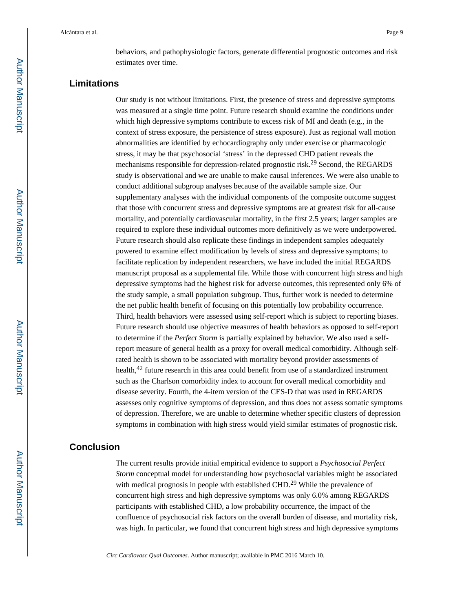behaviors, and pathophysiologic factors, generate differential prognostic outcomes and risk estimates over time.

## **Limitations**

Our study is not without limitations. First, the presence of stress and depressive symptoms was measured at a single time point. Future research should examine the conditions under which high depressive symptoms contribute to excess risk of MI and death (e.g., in the context of stress exposure, the persistence of stress exposure). Just as regional wall motion abnormalities are identified by echocardiography only under exercise or pharmacologic stress, it may be that psychosocial 'stress' in the depressed CHD patient reveals the mechanisms responsible for depression-related prognostic risk.<sup>29</sup> Second, the REGARDS study is observational and we are unable to make causal inferences. We were also unable to conduct additional subgroup analyses because of the available sample size. Our supplementary analyses with the individual components of the composite outcome suggest that those with concurrent stress and depressive symptoms are at greatest risk for all-cause mortality, and potentially cardiovascular mortality, in the first 2.5 years; larger samples are required to explore these individual outcomes more definitively as we were underpowered. Future research should also replicate these findings in independent samples adequately powered to examine effect modification by levels of stress and depressive symptoms; to facilitate replication by independent researchers, we have included the initial REGARDS manuscript proposal as a supplemental file. While those with concurrent high stress and high depressive symptoms had the highest risk for adverse outcomes, this represented only 6% of the study sample, a small population subgroup. Thus, further work is needed to determine the net public health benefit of focusing on this potentially low probability occurrence. Third, health behaviors were assessed using self-report which is subject to reporting biases. Future research should use objective measures of health behaviors as opposed to self-report to determine if the *Perfect Storm* is partially explained by behavior. We also used a selfreport measure of general health as a proxy for overall medical comorbidity. Although selfrated health is shown to be associated with mortality beyond provider assessments of health,<sup>42</sup> future research in this area could benefit from use of a standardized instrument such as the Charlson comorbidity index to account for overall medical comorbidity and disease severity. Fourth, the 4-item version of the CES-D that was used in REGARDS assesses only cognitive symptoms of depression, and thus does not assess somatic symptoms of depression. Therefore, we are unable to determine whether specific clusters of depression symptoms in combination with high stress would yield similar estimates of prognostic risk.

# **Conclusion**

The current results provide initial empirical evidence to support a *Psychosocial Perfect Storm* conceptual model for understanding how psychosocial variables might be associated with medical prognosis in people with established CHD.<sup>29</sup> While the prevalence of concurrent high stress and high depressive symptoms was only 6.0% among REGARDS participants with established CHD, a low probability occurrence, the impact of the confluence of psychosocial risk factors on the overall burden of disease, and mortality risk, was high. In particular, we found that concurrent high stress and high depressive symptoms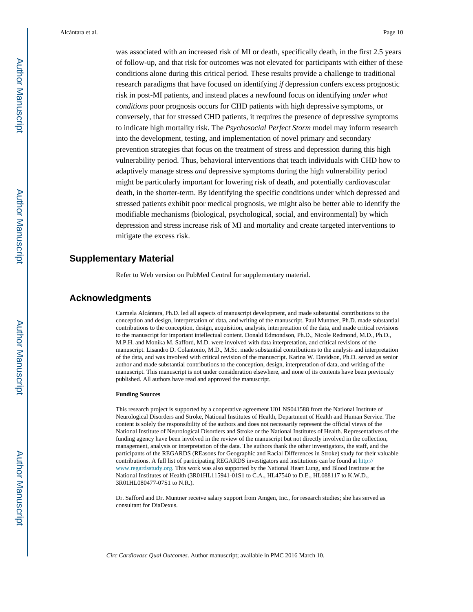was associated with an increased risk of MI or death, specifically death, in the first 2.5 years of follow-up, and that risk for outcomes was not elevated for participants with either of these conditions alone during this critical period. These results provide a challenge to traditional research paradigms that have focused on identifying *if* depression confers excess prognostic risk in post-MI patients, and instead places a newfound focus on identifying *under what conditions* poor prognosis occurs for CHD patients with high depressive symptoms, or conversely, that for stressed CHD patients, it requires the presence of depressive symptoms to indicate high mortality risk. The *Psychosocial Perfect Storm* model may inform research into the development, testing, and implementation of novel primary and secondary prevention strategies that focus on the treatment of stress and depression during this high vulnerability period. Thus, behavioral interventions that teach individuals with CHD how to adaptively manage stress *and* depressive symptoms during the high vulnerability period might be particularly important for lowering risk of death, and potentially cardiovascular death, in the shorter-term. By identifying the specific conditions under which depressed and stressed patients exhibit poor medical prognosis, we might also be better able to identify the modifiable mechanisms (biological, psychological, social, and environmental) by which depression and stress increase risk of MI and mortality and create targeted interventions to mitigate the excess risk.

# **Supplementary Material**

Refer to Web version on PubMed Central for supplementary material.

## **Acknowledgments**

Carmela Alcántara, Ph.D. led all aspects of manuscript development, and made substantial contributions to the conception and design, interpretation of data, and writing of the manuscript. Paul Muntner, Ph.D. made substantial contributions to the conception, design, acquisition, analysis, interpretation of the data, and made critical revisions to the manuscript for important intellectual content. Donald Edmondson, Ph.D., Nicole Redmond, M.D., Ph.D., M.P.H. and Monika M. Safford, M.D. were involved with data interpretation, and critical revisions of the manuscript. Lisandro D. Colantonio, M.D., M.Sc. made substantial contributions to the analysis and interpretation of the data, and was involved with critical revision of the manuscript. Karina W. Davidson, Ph.D. served as senior author and made substantial contributions to the conception, design, interpretation of data, and writing of the manuscript. This manuscript is not under consideration elsewhere, and none of its contents have been previously published. All authors have read and approved the manuscript.

#### **Funding Sources**

This research project is supported by a cooperative agreement U01 NS041588 from the National Institute of Neurological Disorders and Stroke, National Institutes of Health, Department of Health and Human Service. The content is solely the responsibility of the authors and does not necessarily represent the official views of the National Institute of Neurological Disorders and Stroke or the National Institutes of Health. Representatives of the funding agency have been involved in the review of the manuscript but not directly involved in the collection, management, analysis or interpretation of the data. The authors thank the other investigators, the staff, and the participants of the REGARDS (REasons for Geographic and Racial Differences in Stroke) study for their valuable contributions. A full list of participating REGARDS investigators and institutions can be found at [http://](http://www.regardsstudy.org) [www.regardsstudy.org.](http://www.regardsstudy.org) This work was also supported by the National Heart Lung, and Blood Institute at the National Institutes of Health (3R01HL115941-01S1 to C.A., HL47540 to D.E., HL088117 to K.W.D., 3R01HL080477-07S1 to N.R.).

Dr. Safford and Dr. Muntner receive salary support from Amgen, Inc., for research studies; she has served as consultant for DiaDexus.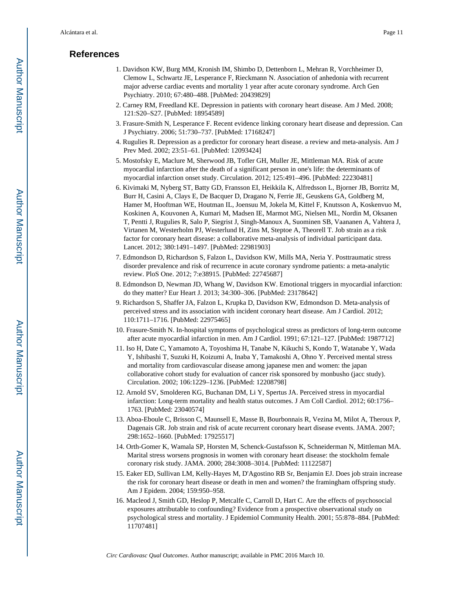# **References**

- 1. Davidson KW, Burg MM, Kronish IM, Shimbo D, Dettenborn L, Mehran R, Vorchheimer D, Clemow L, Schwartz JE, Lesperance F, Rieckmann N. Association of anhedonia with recurrent major adverse cardiac events and mortality 1 year after acute coronary syndrome. Arch Gen Psychiatry. 2010; 67:480–488. [PubMed: 20439829]
- 2. Carney RM, Freedland KE. Depression in patients with coronary heart disease. Am J Med. 2008; 121:S20–S27. [PubMed: 18954589]
- 3. Frasure-Smith N, Lesperance F. Recent evidence linking coronary heart disease and depression. Can J Psychiatry. 2006; 51:730–737. [PubMed: 17168247]
- 4. Rugulies R. Depression as a predictor for coronary heart disease. a review and meta-analysis. Am J Prev Med. 2002; 23:51–61. [PubMed: 12093424]
- 5. Mostofsky E, Maclure M, Sherwood JB, Tofler GH, Muller JE, Mittleman MA. Risk of acute myocardial infarction after the death of a significant person in one's life: the determinants of myocardial infarction onset study. Circulation. 2012; 125:491–496. [PubMed: 22230481]
- 6. Kivimaki M, Nyberg ST, Batty GD, Fransson EI, Heikkila K, Alfredsson L, Bjorner JB, Borritz M, Burr H, Casini A, Clays E, De Bacquer D, Dragano N, Ferrie JE, Geuskens GA, Goldberg M, Hamer M, Hooftman WE, Houtman IL, Joensuu M, Jokela M, Kittel F, Knutsson A, Koskenvuo M, Koskinen A, Kouvonen A, Kumari M, Madsen IE, Marmot MG, Nielsen ML, Nordin M, Oksanen T, Pentti J, Rugulies R, Salo P, Siegrist J, Singh-Manoux A, Suominen SB, Vaananen A, Vahtera J, Virtanen M, Westerholm PJ, Westerlund H, Zins M, Steptoe A, Theorell T. Job strain as a risk factor for coronary heart disease: a collaborative meta-analysis of individual participant data. Lancet. 2012; 380:1491–1497. [PubMed: 22981903]
- 7. Edmondson D, Richardson S, Falzon L, Davidson KW, Mills MA, Neria Y. Posttraumatic stress disorder prevalence and risk of recurrence in acute coronary syndrome patients: a meta-analytic review. PloS One. 2012; 7:e38915. [PubMed: 22745687]
- 8. Edmondson D, Newman JD, Whang W, Davidson KW. Emotional triggers in myocardial infarction: do they matter? Eur Heart J. 2013; 34:300–306. [PubMed: 23178642]
- 9. Richardson S, Shaffer JA, Falzon L, Krupka D, Davidson KW, Edmondson D. Meta-analysis of perceived stress and its association with incident coronary heart disease. Am J Cardiol. 2012; 110:1711–1716. [PubMed: 22975465]
- 10. Frasure-Smith N. In-hospital symptoms of psychological stress as predictors of long-term outcome after acute myocardial infarction in men. Am J Cardiol. 1991; 67:121–127. [PubMed: 1987712]
- 11. Iso H, Date C, Yamamoto A, Toyoshima H, Tanabe N, Kikuchi S, Kondo T, Watanabe Y, Wada Y, Ishibashi T, Suzuki H, Koizumi A, Inaba Y, Tamakoshi A, Ohno Y. Perceived mental stress and mortality from cardiovascular disease among japanese men and women: the japan collaborative cohort study for evaluation of cancer risk sponsored by monbusho (jacc study). Circulation. 2002; 106:1229–1236. [PubMed: 12208798]
- 12. Arnold SV, Smolderen KG, Buchanan DM, Li Y, Spertus JA. Perceived stress in myocardial infarction: Long-term mortality and health status outcomes. J Am Coll Cardiol. 2012; 60:1756– 1763. [PubMed: 23040574]
- 13. Aboa-Eboule C, Brisson C, Maunsell E, Masse B, Bourbonnais R, Vezina M, Milot A, Theroux P, Dagenais GR. Job strain and risk of acute recurrent coronary heart disease events. JAMA. 2007; 298:1652–1660. [PubMed: 17925517]
- 14. Orth-Gomer K, Wamala SP, Horsten M, Schenck-Gustafsson K, Schneiderman N, Mittleman MA. Marital stress worsens prognosis in women with coronary heart disease: the stockholm female coronary risk study. JAMA. 2000; 284:3008–3014. [PubMed: 11122587]
- 15. Eaker ED, Sullivan LM, Kelly-Hayes M, D'Agostino RB Sr, Benjamin EJ. Does job strain increase the risk for coronary heart disease or death in men and women? the framingham offspring study. Am J Epidem. 2004; 159:950–958.
- 16. Macleod J, Smith GD, Heslop P, Metcalfe C, Carroll D, Hart C. Are the effects of psychosocial exposures attributable to confounding? Evidence from a prospective observational study on psychological stress and mortality. J Epidemiol Community Health. 2001; 55:878–884. [PubMed: 11707481]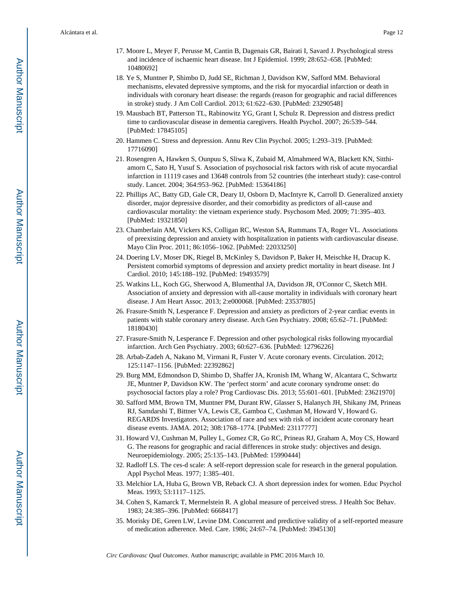- 17. Moore L, Meyer F, Perusse M, Cantin B, Dagenais GR, Bairati I, Savard J. Psychological stress and incidence of ischaemic heart disease. Int J Epidemiol. 1999; 28:652–658. [PubMed: 10480692]
- 18. Ye S, Muntner P, Shimbo D, Judd SE, Richman J, Davidson KW, Safford MM. Behavioral mechanisms, elevated depressive symptoms, and the risk for myocardial infarction or death in individuals with coronary heart disease: the regards (reason for geographic and racial differences in stroke) study. J Am Coll Cardiol. 2013; 61:622–630. [PubMed: 23290548]
- 19. Mausbach BT, Patterson TL, Rabinowitz YG, Grant I, Schulz R. Depression and distress predict time to cardiovascular disease in dementia caregivers. Health Psychol. 2007; 26:539–544. [PubMed: 17845105]
- 20. Hammen C. Stress and depression. Annu Rev Clin Psychol. 2005; 1:293–319. [PubMed: 17716090]
- 21. Rosengren A, Hawken S, Ounpuu S, Sliwa K, Zubaid M, Almahmeed WA, Blackett KN, Sitthiamorn C, Sato H, Yusuf S. Association of psychosocial risk factors with risk of acute myocardial infarction in 11119 cases and 13648 controls from 52 countries (the interheart study): case-control study. Lancet. 2004; 364:953–962. [PubMed: 15364186]
- 22. Phillips AC, Batty GD, Gale CR, Deary IJ, Osborn D, MacIntyre K, Carroll D. Generalized anxiety disorder, major depressive disorder, and their comorbidity as predictors of all-cause and cardiovascular mortality: the vietnam experience study. Psychosom Med. 2009; 71:395–403. [PubMed: 19321850]
- 23. Chamberlain AM, Vickers KS, Colligan RC, Weston SA, Rummans TA, Roger VL. Associations of preexisting depression and anxiety with hospitalization in patients with cardiovascular disease. Mayo Clin Proc. 2011; 86:1056–1062. [PubMed: 22033250]
- 24. Doering LV, Moser DK, Riegel B, McKinley S, Davidson P, Baker H, Meischke H, Dracup K. Persistent comorbid symptoms of depression and anxiety predict mortality in heart disease. Int J Cardiol. 2010; 145:188–192. [PubMed: 19493579]
- 25. Watkins LL, Koch GG, Sherwood A, Blumenthal JA, Davidson JR, O'Connor C, Sketch MH. Association of anxiety and depression with all-cause mortality in individuals with coronary heart disease. J Am Heart Assoc. 2013; 2:e000068. [PubMed: 23537805]
- 26. Frasure-Smith N, Lesperance F. Depression and anxiety as predictors of 2-year cardiac events in patients with stable coronary artery disease. Arch Gen Psychiatry. 2008; 65:62–71. [PubMed: 18180430]
- 27. Frasure-Smith N, Lesperance F. Depression and other psychological risks following myocardial infarction. Arch Gen Psychiatry. 2003; 60:627–636. [PubMed: 12796226]
- 28. Arbab-Zadeh A, Nakano M, Virmani R, Fuster V. Acute coronary events. Circulation. 2012; 125:1147–1156. [PubMed: 22392862]
- 29. Burg MM, Edmondson D, Shimbo D, Shaffer JA, Kronish IM, Whang W, Alcantara C, Schwartz JE, Muntner P, Davidson KW. The 'perfect storm' and acute coronary syndrome onset: do psychosocial factors play a role? Prog Cardiovasc Dis. 2013; 55:601–601. [PubMed: 23621970]
- 30. Safford MM, Brown TM, Muntner PM, Durant RW, Glasser S, Halanych JH, Shikany JM, Prineas RJ, Samdarshi T, Bittner VA, Lewis CE, Gamboa C, Cushman M, Howard V, Howard G. REGARDS Investigators. Association of race and sex with risk of incident acute coronary heart disease events. JAMA. 2012; 308:1768–1774. [PubMed: 23117777]
- 31. Howard VJ, Cushman M, Pulley L, Gomez CR, Go RC, Prineas RJ, Graham A, Moy CS, Howard G. The reasons for geographic and racial differences in stroke study: objectives and design. Neuroepidemiology. 2005; 25:135–143. [PubMed: 15990444]
- 32. Radloff LS. The ces-d scale: A self-report depression scale for research in the general population. Appl Psychol Meas. 1977; 1:385–401.
- 33. Melchior LA, Huba G, Brown VB, Reback CJ. A short depression index for women. Educ Psychol Meas. 1993; 53:1117–1125.
- 34. Cohen S, Kamarck T, Mermelstein R. A global measure of perceived stress. J Health Soc Behav. 1983; 24:385–396. [PubMed: 6668417]
- 35. Morisky DE, Green LW, Levine DM. Concurrent and predictive validity of a self-reported measure of medication adherence. Med. Care. 1986; 24:67–74. [PubMed: 3945130]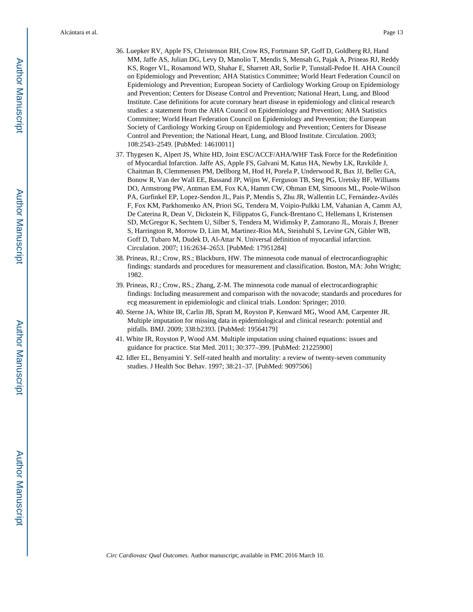- 36. Luepker RV, Apple FS, Christenson RH, Crow RS, Fortmann SP, Goff D, Goldberg RJ, Hand MM, Jaffe AS, Julian DG, Levy D, Manolio T, Mendis S, Mensah G, Pajak A, Prineas RJ, Reddy KS, Roger VL, Rosamond WD, Shahar E, Sharrett AR, Sorlie P, Tunstall-Pedoe H. AHA Council on Epidemiology and Prevention; AHA Statistics Committee; World Heart Federation Council on Epidemiology and Prevention; European Society of Cardiology Working Group on Epidemiology and Prevention; Centers for Disease Control and Prevention; National Heart, Lung, and Blood Institute. Case definitions for acute coronary heart disease in epidemiology and clinical research studies: a statement from the AHA Council on Epidemiology and Prevention; AHA Statistics Committee; World Heart Federation Council on Epidemiology and Prevention; the European Society of Cardiology Working Group on Epidemiology and Prevention; Centers for Disease Control and Prevention; the National Heart, Lung, and Blood Institute. Circulation. 2003; 108:2543–2549. [PubMed: 14610011]
- 37. Thygesen K, Alpert JS, White HD, Joint ESC/ACCF/AHA/WHF Task Force for the Redefinition of Myocardial Infarction. Jaffe AS, Apple FS, Galvani M, Katus HA, Newby LK, Ravkilde J, Chaitman B, Clemmensen PM, Dellborg M, Hod H, Porela P, Underwood R, Bax JJ, Beller GA, Bonow R, Van der Wall EE, Bassand JP, Wijns W, Ferguson TB, Steg PG, Uretsky BF, Williams DO, Armstrong PW, Antman EM, Fox KA, Hamm CW, Ohman EM, Simoons ML, Poole-Wilson PA, Gurfinkel EP, Lopez-Sendon JL, Pais P, Mendis S, Zhu JR, Wallentin LC, Fernández-Avilés F, Fox KM, Parkhomenko AN, Priori SG, Tendera M, Voipio-Pulkki LM, Vahanian A, Camm AJ, De Caterina R, Dean V, Dickstein K, Filippatos G, Funck-Brentano C, Hellemans I, Kristensen SD, McGregor K, Sechtem U, Silber S, Tendera M, Widimsky P, Zamorano JL, Morais J, Brener S, Harrington R, Morrow D, Lim M, Martinez-Rios MA, Steinhubl S, Levine GN, Gibler WB, Goff D, Tubaro M, Dudek D, Al-Attar N. Universal definition of myocardial infarction. Circulation. 2007; 116:2634–2653. [PubMed: 17951284]
- 38. Prineas, RJ.; Crow, RS.; Blackburn, HW. The minnesota code manual of electrocardiographic findings: standards and procedures for measurement and classification. Boston, MA: John Wright; 1982.
- 39. Prineas, RJ.; Crow, RS.; Zhang, Z-M. The minnesota code manual of electrocardiographic findings: Including measurement and comparison with the novacode; standards and procedures for ecg measurement in epidemiologic and clinical trials. London: Springer; 2010.
- 40. Sterne JA, White IR, Carlin JB, Spratt M, Royston P, Kenward MG, Wood AM, Carpenter JR. Multiple imputation for missing data in epidemiological and clinical research: potential and pitfalls. BMJ. 2009; 338:b2393. [PubMed: 19564179]
- 41. White IR, Royston P, Wood AM. Multiple imputation using chained equations: issues and guidance for practice. Stat Med. 2011; 30:377–399. [PubMed: 21225900]
- 42. Idler EL, Benyamini Y. Self-rated health and mortality: a review of twenty-seven community studies. J Health Soc Behav. 1997; 38:21–37. [PubMed: 9097506]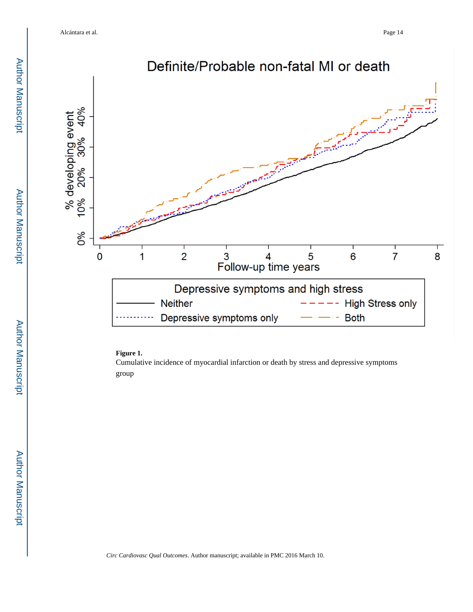

# **Figure 1.**

Cumulative incidence of myocardial infarction or death by stress and depressive symptoms group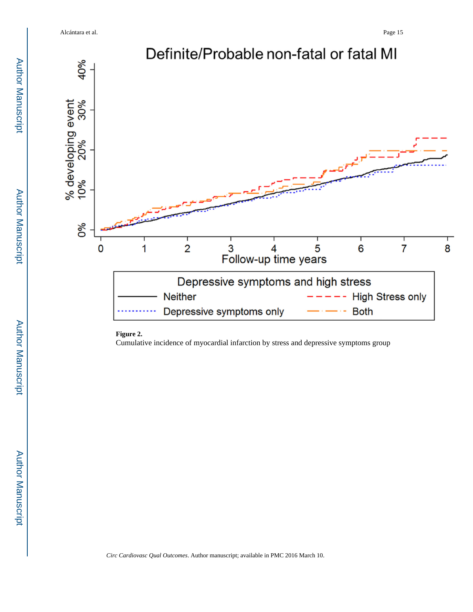Alcántara et al. Page 15



**Figure 2.** 

Cumulative incidence of myocardial infarction by stress and depressive symptoms group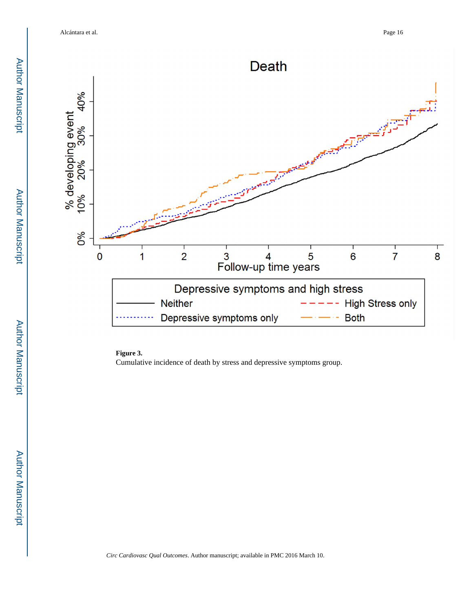

# **Figure 3.**

Cumulative incidence of death by stress and depressive symptoms group.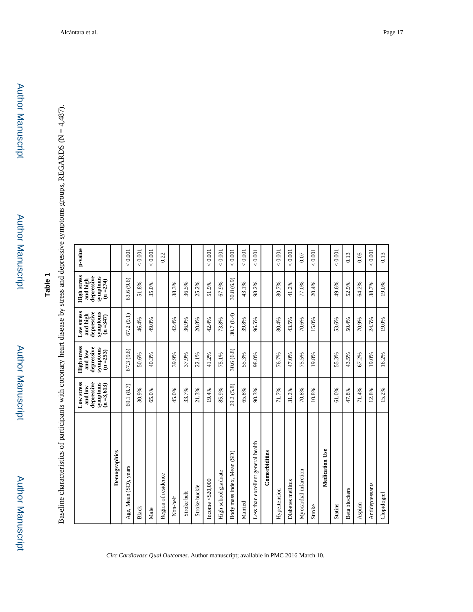Author Manuscript

**Author Manuscript** 

| $\ddot{\phantom{0}}$                    |
|-----------------------------------------|
|                                         |
| $\frac{1}{2}$                           |
| $\sim$ $\sim$ $\sim$<br>$\vdots$        |
|                                         |
| )<br>י<br>ו                             |
|                                         |
|                                         |
| ا<br>ا                                  |
| in in the real<br>i<br>∑<br>}<br>i<br>I |
|                                         |
|                                         |
| ł                                       |
| $\frac{1}{2}$                           |
| $\alpha$ array $\alpha$                 |
|                                         |
|                                         |
|                                         |
|                                         |
|                                         |
| $C + T = C$ $C + T + T$                 |
|                                         |
| $\ddotsc$                               |
| i                                       |
| 1                                       |
|                                         |
| is<br>S                                 |
|                                         |
|                                         |
|                                         |
|                                         |
|                                         |
| $\overline{a}$                          |
| $-2$                                    |
| )<br>}                                  |
|                                         |
| $\frac{1}{2}$                           |
|                                         |
|                                         |
| <b>ACCES CONTROL</b>                    |
|                                         |
|                                         |
|                                         |
|                                         |
|                                         |
|                                         |
| re with coron:                          |
|                                         |
| i                                       |
| 1                                       |
| of participa                            |
|                                         |
| 1                                       |
|                                         |
|                                         |
|                                         |
|                                         |
|                                         |
|                                         |
|                                         |
|                                         |
|                                         |
|                                         |
|                                         |
|                                         |
|                                         |

|                                    | Low stress<br>depressive<br>symptoms<br>$(n=3,613)$<br>and low | <b>High stress</b><br>depressive<br>symptoms<br>$(n = 253)$<br>and low | Low stress<br>depressive<br>symptoms<br>and high<br>$(n = 347)$ | <b>High stress</b><br>depressive<br>symptoms<br>and high<br>$(n = 274)$ | p-value       |
|------------------------------------|----------------------------------------------------------------|------------------------------------------------------------------------|-----------------------------------------------------------------|-------------------------------------------------------------------------|---------------|
| Demographics                       |                                                                |                                                                        |                                                                 |                                                                         |               |
| Age, Mean (SD), years              | 69.1 (8.7)                                                     | 67.3(9.6)                                                              | 67.2(9.1)                                                       | 63.6(9.6)                                                               | < 0.001       |
| Black                              | 30.9%                                                          | 50.6%                                                                  | 46.4%                                                           | 51.8%                                                                   | < 0.001       |
| Male                               | 65.0%                                                          | 40.3%                                                                  | 49.0%                                                           | 35.0%                                                                   | ${}_{<0.001}$ |
| Region of residence                |                                                                |                                                                        |                                                                 |                                                                         | 0.22          |
| Non-belt                           | 45.0%                                                          | 39.9%                                                                  | 42.4%                                                           | 38.3%                                                                   |               |
| Stroke belt                        | 33.7%                                                          | 37.9%                                                                  | 36.9%                                                           | 36.5%                                                                   |               |
| Stroke buckle                      | 21.3%                                                          | 22.1%                                                                  | 20.8%                                                           | 25.2%                                                                   |               |
| Income $<$ \$20,000                | 19.4%                                                          | 41.2%                                                                  | 42.4%                                                           | 51.9%                                                                   | < 0.001       |
| High school graduate               | 85.9%                                                          | 75.1%                                                                  | 73.8%                                                           | 67.9%                                                                   | ${}_{<0.001}$ |
| Body mass index, Mean (SD)         | 29.2 (5.8)                                                     | 30.6 (6.8)                                                             | 30.7 (6.4)                                                      | 30.8 (6.9)                                                              | ${}_{<0.001}$ |
| Married                            | 65.8%                                                          | 55.3%                                                                  | 39.8%                                                           | 43.1%                                                                   | < 0.001       |
| Less than excellent general health | 90.3%                                                          | 98.0%                                                                  | 96.5%                                                           | 98.2%                                                                   | < 0.001       |
| Comorbidities                      |                                                                |                                                                        |                                                                 |                                                                         |               |
| Hypertension                       | 71.7%                                                          | 76.7%                                                                  | 80.4%                                                           | 80.7%                                                                   | ${}_{<0.001}$ |
| Diabetes mellitus                  | 31.2%                                                          | 47.0%                                                                  | 43.5%                                                           | 41.2%                                                                   | < 0.001       |
| Myocardial infarction              | 70.8%                                                          | 75.5%                                                                  | 70.6%                                                           | 77.0%                                                                   | 0.07          |
| Stroke                             | 10.8%                                                          | 19.8%                                                                  | 15.0%                                                           | 20.4%                                                                   | ${}_{<0.001}$ |
| Medication Use                     |                                                                |                                                                        |                                                                 |                                                                         |               |
| <b>Statins</b>                     | 61.0%                                                          | 55.3%                                                                  | 53.6%                                                           | 49.6%                                                                   | < 0.001       |
| Beta blockers                      | 47.8%                                                          | 43.5%                                                                  | 50.4%                                                           | 52.9%                                                                   | 0.13          |
| Aspirin                            | 71.4%                                                          | 67.2%                                                                  | 70.9%                                                           | 64.2%                                                                   | 0.05          |
| Antidepressants                    | 12.8%                                                          | 19.0%                                                                  | 24.5%                                                           | 38.7%                                                                   | < 0.001       |
| Clopidogrel                        | 15.2%                                                          | 16.2%                                                                  | 19.0%                                                           | 19.0%                                                                   | 0.13          |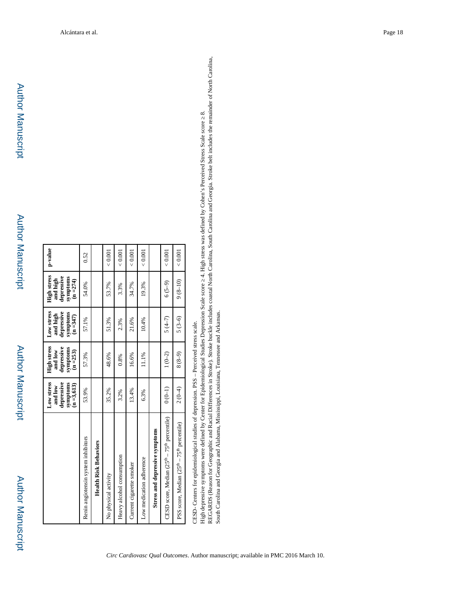Author Manuscript

Author Manuscript

|                                                                     | <b>Low stress</b><br>depressive<br>symptoms<br>$(n=3,613)$<br>and low | <b>High stress</b><br>depressive<br>symptoms<br>$(n = 253)$<br>and low | Low stress<br>depressive<br>symptoms<br>and high<br>$(n=347)$ | <b>High stress</b><br>depressive<br>symptoms<br>and high<br>$(n = 274)$ | p-value |
|---------------------------------------------------------------------|-----------------------------------------------------------------------|------------------------------------------------------------------------|---------------------------------------------------------------|-------------------------------------------------------------------------|---------|
| Renin angiotensin system inhibitors                                 | 53.9%                                                                 | 57.3%                                                                  | 57.1%                                                         | 54.0%                                                                   | 0.52    |
| <b>Health Risk Behaviors</b>                                        |                                                                       |                                                                        |                                                               |                                                                         |         |
| No physical activity                                                | 35.2%                                                                 | 48.6%                                                                  | 51.3%                                                         | 53.7%                                                                   | < 0.001 |
| Heavy alcohol consumption                                           | 3.2%                                                                  | 0.8%                                                                   | 2.3%                                                          | 3.3%                                                                    | < 0.001 |
| Current cigarette smoker                                            | 13.4%                                                                 | 16.6%                                                                  | 21.6%                                                         | 34.7%                                                                   | < 0.001 |
| Low medication adherence                                            | 6.3%                                                                  | 11.1%                                                                  | 10.4%                                                         | 19.3%                                                                   | < 0.001 |
| <b>Stress and depressive symptoms</b>                               |                                                                       |                                                                        |                                                               |                                                                         |         |
| CESD score, Median (25 <sup>th</sup> – 75 <sup>th</sup> percentile) | $(0 - 1)$                                                             | $1(0-2)$                                                               | $5(4-7)$                                                      | $(6(5-9))$                                                              | < 0.001 |
| PSS score, Median (25 <sup>th</sup> – 75 <sup>th</sup> percentile)  | $2(0-4)$                                                              | $(6 - 8)$                                                              | $5(3-6)$                                                      | $9(8-10)$                                                               | < 0.001 |
|                                                                     |                                                                       |                                                                        |                                                               |                                                                         |         |

CESD- Centers for epidemiological studies of depression. PSS - Perceived stress scale. CESD- Centers for epidemiological studies of depression. PSS – Perceived stress scale.

REGARDS (Reason for Geographic and Racial Differences in Stroke). Stroke buckle includes coastal North Carolina, South Carolina and Georgia. Stroke belt includes the remainder of North Carolina, REGARDS (Reason for Geographic and Racial Differences in Stroke). Stroke buckle includes coastal North Carolina, South Carolina and Georgia. Stroke belt includes the remainder of North Carolina, High depressive symptoms were defined by Center for Epidemiological Studies Depression Scale score 4. High stress was defined by Cohen's Perceived Stress Scale score 8. High depressive symptoms were defined by Center for Epidemiological Studies Depression Scale score ≥ 4. High stress was defined by Cohen's Perceived Stress Scale score ≥ 8. South Carolina and Georgia and Alabama, Mississippi, Louisiana, Tennessee and Arkansas. South Carolina and Georgia and Alabama, Mississippi, Louisiana, Tennessee and Arkansas.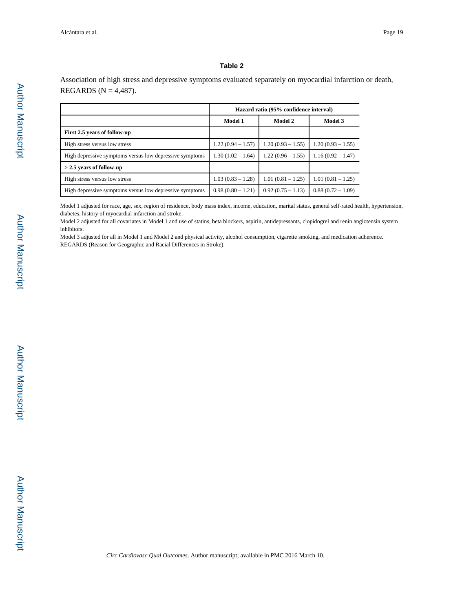#### **Table 2**

Association of high stress and depressive symptoms evaluated separately on myocardial infarction or death, REGARDS ( $N = 4,487$ ).

|                                                         | Hazard ratio (95% confidence interval) |                     |                     |
|---------------------------------------------------------|----------------------------------------|---------------------|---------------------|
|                                                         | Model 1                                | Model 2             | Model 3             |
| First 2.5 years of follow-up                            |                                        |                     |                     |
| High stress versus low stress                           | $1.22(0.94 - 1.57)$                    | $1.20(0.93 - 1.55)$ | $1.20(0.93 - 1.55)$ |
| High depressive symptoms versus low depressive symptoms | $1.30(1.02 - 1.64)$                    | $1.22(0.96 - 1.55)$ | $1.16(0.92 - 1.47)$ |
| $>$ 2.5 years of follow-up                              |                                        |                     |                     |
| High stress versus low stress                           | $1.03(0.83 - 1.28)$                    | $1.01(0.81 - 1.25)$ | $1.01(0.81 - 1.25)$ |
| High depressive symptoms versus low depressive symptoms | $0.98(0.80 - 1.21)$                    | $0.92(0.75 - 1.13)$ | $0.88(0.72 - 1.09)$ |

Model 1 adjusted for race, age, sex, region of residence, body mass index, income, education, marital status, general self-rated health, hypertension, diabetes, history of myocardial infarction and stroke.

Model 2 adjusted for all covariates in Model 1 and use of statins, beta blockers, aspirin, antidepressants, clopidogrel and renin angiotensin system inhibitors.

Model 3 adjusted for all in Model 1 and Model 2 and physical activity, alcohol consumption, cigarette smoking, and medication adherence. REGARDS (Reason for Geographic and Racial Differences in Stroke).